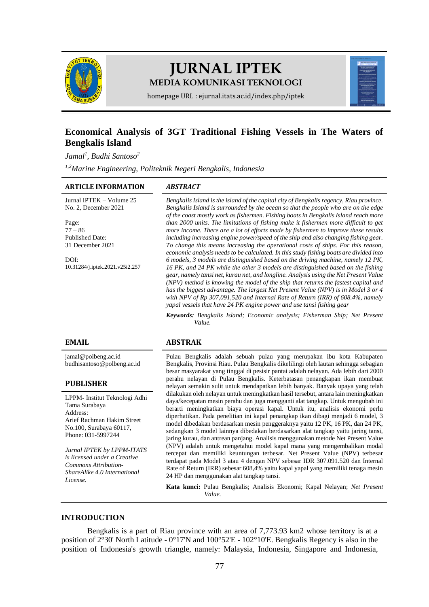

# **JURNAL IPTEK MEDIA KOMUNIKASI TEKNOLOGI**



homepage URL : ejurnal.itats.ac.id/index.php/iptek

# **Economical Analysis of 3GT Traditional Fishing Vessels in The Waters of Bengkalis Island**

*Jamal<sup>1</sup> , Budhi Santoso<sup>2</sup>*

*1,2Marine Engineering, Politeknik Negeri Bengkalis, Indonesia*

#### **ARTICLE INFORMATION** *ABSTRACT*

Jurnal IPTEK – Volume 25 No. 2, December 2021

Page: 77 – 86 Published Date: 31 December 2021

 $D$  $D$ [10.31284/j.iptek.2021.v25i2.257](https://doi.org/10.31284/j.iptek.2021.v25i2.257) *Bengkalis Island is the island of the capital city of Bengkalis regency, Riau province. Bengkalis Island is surrounded by the ocean so that the people who are on the edge of the coast mostly work as fishermen. Fishing boats in Bengkalis Island reach more than 2000 units. The limitations of fishing make it fishermen more difficult to get more income. There are a lot of efforts made by fishermen to improve these results including increasing engine power/speed of the ship and also changing fishing gear. To change this means increasing the operational costs of ships. For this reason, economic analysis needs to be calculated. In this study fishing boats are divided into 6 models, 3 models are distinguished based on the driving machine, namely 12 PK, 16 PK, and 24 PK while the other 3 models are distinguished based on the fishing gear, namely tansi net, kurau net, and longline. Analysis using the Net Present Value (NPV) method is knowing the model of the ship that returns the fastest capital and has the biggest advantage. The largest Net Present Value (NPV) is in Model 3 or 4 with NPV of Rp 307,091,520 and Internal Rate of Return (IRR) of 608.4%, namely yapal vessels that have 24 PK engine power and use tansi fishing gear*

*Keywords: Bengkalis Island; Economic analysis; Fisherman Ship; Net Present Value.*

[jamal@polbeng.ac.id](mailto:jamal@polbeng.ac.id) [budhisantoso@polbeng.ac.id](mailto:budhisantoso@polbeng.ac.id)

#### **PUBLISHER**

LPPM- Institut Teknologi Adhi Tama Surabaya Address: Arief Rachman Hakim Street No.100, Surabaya 60117, Phone: 031-5997244

*Jurnal IPTEK by LPPM-ITATS is licensed under a Creative Commons Attribution-ShareAlike 4.0 International License.*

#### **EMAIL ABSTRAK**

Pulau Bengkalis adalah sebuah pulau yang merupakan ibu kota Kabupaten Bengkalis, Provinsi Riau. Pulau Bengkalis dikelilingi oleh lautan sehingga sebagian besar masyarakat yang tinggal di pesisir pantai adalah nelayan. Ada lebih dari 2000 perahu nelayan di Pulau Bengkalis. Keterbatasan penangkapan ikan membuat nelayan semakin sulit untuk mendapatkan lebih banyak. Banyak upaya yang telah dilakukan oleh nelayan untuk meningkatkan hasil tersebut, antara lain meningkatkan daya/kecepatan mesin perahu dan juga mengganti alat tangkap. Untuk mengubah ini berarti meningkatkan biaya operasi kapal. Untuk itu, analisis ekonomi perlu diperhatikan. Pada penelitian ini kapal penangkap ikan dibagi menjadi 6 model, 3 model dibedakan berdasarkan mesin penggeraknya yaitu 12 PK, 16 PK, dan 24 PK, sedangkan 3 model lainnya dibedakan berdasarkan alat tangkap yaitu jaring tansi, jaring kurau, dan antrean panjang. Analisis menggunakan metode Net Present Value (NPV) adalah untuk mengetahui model kapal mana yang mengembalikan modal tercepat dan memiliki keuntungan terbesar. Net Present Value (NPV) terbesar terdapat pada Model 3 atau 4 dengan NPV sebesar IDR 307.091.520 dan Internal Rate of Return (IRR) sebesar 608,4% yaitu kapal yapal yang memiliki tenaga mesin 24 HP dan menggunakan alat tangkap tansi.

**Kata kunci:** Pulau Bengkalis; Analisis Ekonomi; Kapal Nelayan; *Net Present Value.*

#### **INTRODUCTION**

Bengkalis is a part of Riau province with an area of 7,773.93 km2 whose territory is at a position of 2°30' North Latitude - 0°17'N and 100°52'E - 102°10'E. Bengkalis Regency is also in the position of Indonesia's growth triangle, namely: Malaysia, Indonesia, Singapore and Indonesia,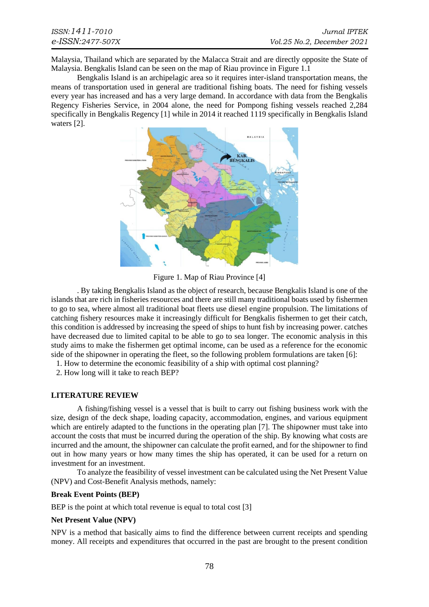Malaysia, Thailand which are separated by the Malacca Strait and are directly opposite the State of Malaysia. Bengkalis Island can be seen on the map of Riau province in Figure 1.1

Bengkalis Island is an archipelagic area so it requires inter-island transportation means, the means of transportation used in general are traditional fishing boats. The need for fishing vessels every year has increased and has a very large demand. In accordance with data from the Bengkalis Regency Fisheries Service, in 2004 alone, the need for Pompong fishing vessels reached 2,284 specifically in Bengkalis Regency [1] while in 2014 it reached 1119 specifically in Bengkalis Island waters [2].



Figure 1. Map of Riau Province [4]

. By taking Bengkalis Island as the object of research, because Bengkalis Island is one of the islands that are rich in fisheries resources and there are still many traditional boats used by fishermen to go to sea, where almost all traditional boat fleets use diesel engine propulsion. The limitations of catching fishery resources make it increasingly difficult for Bengkalis fishermen to get their catch, this condition is addressed by increasing the speed of ships to hunt fish by increasing power. catches have decreased due to limited capital to be able to go to sea longer. The economic analysis in this study aims to make the fishermen get optimal income, can be used as a reference for the economic side of the shipowner in operating the fleet, so the following problem formulations are taken [6]:

1. How to determine the economic feasibility of a ship with optimal cost planning?

2. How long will it take to reach BEP?

#### **LITERATURE REVIEW**

A fishing/fishing vessel is a vessel that is built to carry out fishing business work with the size, design of the deck shape, loading capacity, accommodation, engines, and various equipment which are entirely adapted to the functions in the operating plan [7]. The shipowner must take into account the costs that must be incurred during the operation of the ship. By knowing what costs are incurred and the amount, the shipowner can calculate the profit earned, and for the shipowner to find out in how many years or how many times the ship has operated, it can be used for a return on investment for an investment.

To analyze the feasibility of vessel investment can be calculated using the Net Present Value (NPV) and Cost-Benefit Analysis methods, namely:

#### **Break Event Points (BEP)**

BEP is the point at which total revenue is equal to total cost [3]

#### **Net Present Value (NPV)**

NPV is a method that basically aims to find the difference between current receipts and spending money. All receipts and expenditures that occurred in the past are brought to the present condition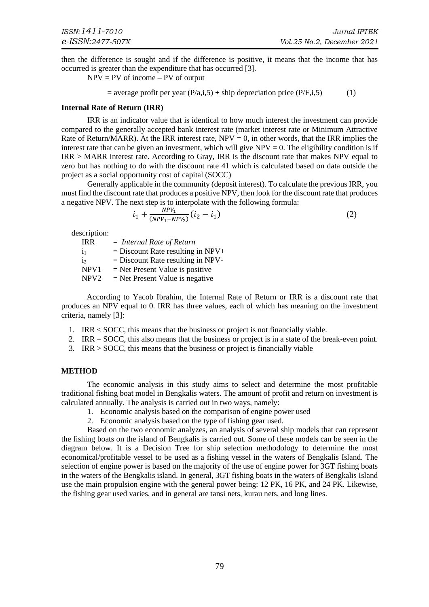then the difference is sought and if the difference is positive, it means that the income that has occurred is greater than the expenditure that has occurred [3].

 $NPV = PV of income - PV of output$ 

= average profit per year 
$$
(P/a,i,5)
$$
 + ship depreciation price  $(P/F,i,5)$  (1)

#### **Internal Rate of Return (IRR)**

IRR is an indicator value that is identical to how much interest the investment can provide compared to the generally accepted bank interest rate (market interest rate or Minimum Attractive Rate of Return/MARR). At the IRR interest rate,  $NPV = 0$ , in other words, that the IRR implies the interest rate that can be given an investment, which will give  $NPV = 0$ . The eligibility condition is if IRR > MARR interest rate. According to Gray, IRR is the discount rate that makes NPV equal to zero but has nothing to do with the discount rate 41 which is calculated based on data outside the project as a social opportunity cost of capital (SOCC)

Generally applicable in the community (deposit interest). To calculate the previous IRR, you must find the discount rate that produces a positive NPV, then look for the discount rate that produces a negative NPV. The next step is to interpolate with the following formula:

$$
i_1 + \frac{NPV_1}{(NPV_1 - NPV_2)}(i_2 - i_1)
$$
 (2)

description:

IRR = *Internal Rate of Return*  $i_1$  = Discount Rate resulting in NPV+  $i_2$  = Discount Rate resulting in NPV- $NPV1 = Net Present Value is positive$  $NPV2 = Net Present Value is negative$ 

According to Yacob Ibrahim, the Internal Rate of Return or IRR is a discount rate that produces an NPV equal to 0. IRR has three values, each of which has meaning on the investment criteria, namely [3]:

- 1. IRR < SOCC, this means that the business or project is not financially viable.
- 2. IRR = SOCC, this also means that the business or project is in a state of the break-even point.
- 3. IRR > SOCC, this means that the business or project is financially viable

#### **METHOD**

The economic analysis in this study aims to select and determine the most profitable traditional fishing boat model in Bengkalis waters. The amount of profit and return on investment is calculated annually. The analysis is carried out in two ways, namely:

- 1. Economic analysis based on the comparison of engine power used
- 2. Economic analysis based on the type of fishing gear used.

Based on the two economic analyzes, an analysis of several ship models that can represent the fishing boats on the island of Bengkalis is carried out. Some of these models can be seen in the diagram below. It is a Decision Tree for ship selection methodology to determine the most economical/profitable vessel to be used as a fishing vessel in the waters of Bengkalis Island. The selection of engine power is based on the majority of the use of engine power for 3GT fishing boats in the waters of the Bengkalis island. In general, 3GT fishing boats in the waters of Bengkalis Island use the main propulsion engine with the general power being: 12 PK, 16 PK, and 24 PK. Likewise, the fishing gear used varies, and in general are tansi nets, kurau nets, and long lines.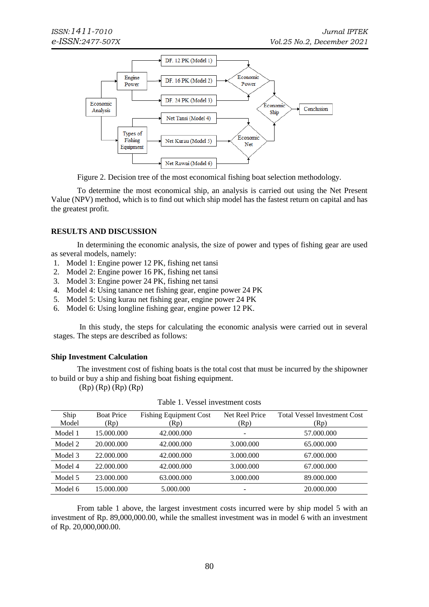

Figure 2. Decision tree of the most economical fishing boat selection methodology*.*

To determine the most economical ship, an analysis is carried out using the Net Present Value (NPV) method, which is to find out which ship model has the fastest return on capital and has the greatest profit.

## **RESULTS AND DISCUSSION**

In determining the economic analysis, the size of power and types of fishing gear are used as several models, namely:

- 1. Model 1: Engine power 12 PK, fishing net tansi
- 2. Model 2: Engine power 16 PK, fishing net tansi
- 3. Model 3: Engine power 24 PK, fishing net tansi
- 4. Model 4: Using tanance net fishing gear, engine power 24 PK
- 5. Model 5: Using kurau net fishing gear, engine power 24 PK
- 6. Model 6: Using longline fishing gear, engine power 12 PK.

In this study, the steps for calculating the economic analysis were carried out in several stages. The steps are described as follows:

#### **Ship Investment Calculation**

The investment cost of fishing boats is the total cost that must be incurred by the shipowner to build or buy a ship and fishing boat fishing equipment.

(Rp) (Rp) (Rp) (Rp)

| Ship<br>Model | <b>Boat Price</b><br>(Rp) | <b>Fishing Equipment Cost</b><br>(Rp) | Net Reel Price<br>(Rp) | <b>Total Vessel Investment Cost</b><br>(Rp) |
|---------------|---------------------------|---------------------------------------|------------------------|---------------------------------------------|
| Model 1       | 15.000.000                | 42.000.000                            | -                      | 57.000.000                                  |
| Model 2       | 20.000.000                | 42.000.000                            | 3.000.000              | 65.000.000                                  |
| Model 3       | 22.000.000                | 42.000.000                            | 3.000.000              | 67.000.000                                  |
| Model 4       | 22,000,000                | 42.000.000                            | 3.000.000              | 67.000.000                                  |
| Model 5       | 23.000.000                | 63.000.000                            | 3.000.000              | 89.000.000                                  |
| Model 6       | 15.000.000                | 5.000.000                             | -                      | 20.000.000                                  |

|  |  | Table 1. Vessel investment costs |  |
|--|--|----------------------------------|--|
|--|--|----------------------------------|--|

From table 1 above, the largest investment costs incurred were by ship model 5 with an investment of Rp. 89,000,000.00, while the smallest investment was in model 6 with an investment of Rp. 20,000,000.00.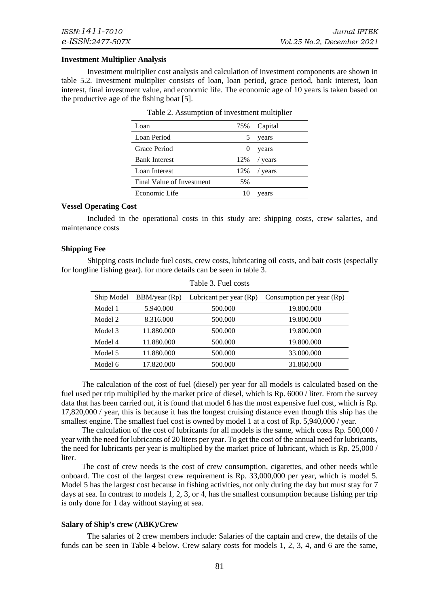#### **Investment Multiplier Analysis**

Investment multiplier cost analysis and calculation of investment components are shown in table 5.2. Investment multiplier consists of loan, loan period, grace period, bank interest, loan interest, final investment value, and economic life. The economic age of 10 years is taken based on the productive age of the fishing boat [5].

| Loan                      | 75% | Capital |
|---------------------------|-----|---------|
| Loan Period               | 5   | years   |
| Grace Period              | 0   | years   |
| <b>Bank Interest</b>      | 12% | / years |
| Loan Interest             | 12% | years   |
| Final Value of Investment | 5%  |         |
| Economic Life             | 10  | years   |

| Table 2. Assumption of investment multiplier |  |
|----------------------------------------------|--|
|----------------------------------------------|--|

#### **Vessel Operating Cost**

Included in the operational costs in this study are: shipping costs, crew salaries, and maintenance costs

#### **Shipping Fee**

Shipping costs include fuel costs, crew costs, lubricating oil costs, and bait costs (especially for longline fishing gear). for more details can be seen in table 3.

| Ship Model | BBM/year (Rp) | Lubricant per year (Rp) | Consumption per year (Rp) |
|------------|---------------|-------------------------|---------------------------|
| Model 1    | 5.940.000     | 500.000                 | 19.800.000                |
| Model 2    | 8.316.000     | 500.000                 | 19.800.000                |
| Model 3    | 11.880.000    | 500.000                 | 19.800.000                |
| Model 4    | 11.880.000    | 500.000                 | 19.800.000                |
| Model 5    | 11.880.000    | 500.000                 | 33.000.000                |
| Model 6    | 17.820.000    | 500.000                 | 31.860.000                |
|            |               |                         |                           |

| Table 3. Fuel costs |  |
|---------------------|--|
|---------------------|--|

The calculation of the cost of fuel (diesel) per year for all models is calculated based on the fuel used per trip multiplied by the market price of diesel, which is Rp. 6000 / liter. From the survey data that has been carried out, it is found that model 6 has the most expensive fuel cost, which is Rp. 17,820,000 / year, this is because it has the longest cruising distance even though this ship has the smallest engine. The smallest fuel cost is owned by model 1 at a cost of Rp. 5,940,000 / year.

The calculation of the cost of lubricants for all models is the same, which costs Rp. 500,000 / year with the need for lubricants of 20 liters per year. To get the cost of the annual need for lubricants, the need for lubricants per year is multiplied by the market price of lubricant, which is Rp. 25,000 / liter.

The cost of crew needs is the cost of crew consumption, cigarettes, and other needs while onboard. The cost of the largest crew requirement is Rp. 33,000,000 per year, which is model 5. Model 5 has the largest cost because in fishing activities, not only during the day but must stay for 7 days at sea. In contrast to models 1, 2, 3, or 4, has the smallest consumption because fishing per trip is only done for 1 day without staying at sea.

#### **Salary of Ship's crew (ABK)/Crew**

The salaries of 2 crew members include: Salaries of the captain and crew, the details of the funds can be seen in Table 4 below. Crew salary costs for models 1, 2, 3, 4, and 6 are the same,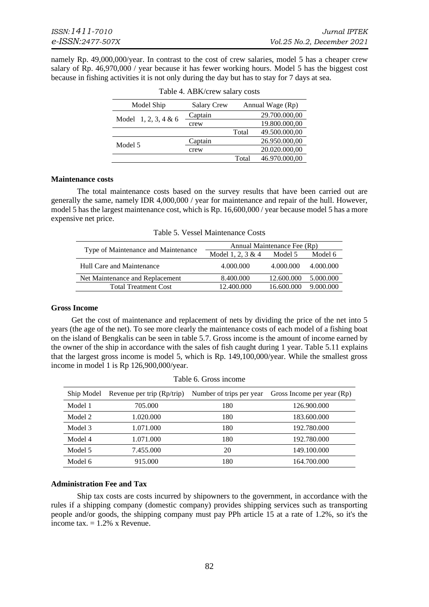namely Rp. 49,000,000/year. In contrast to the cost of crew salaries, model 5 has a cheaper crew salary of Rp. 46,970,000 / year because it has fewer working hours. Model 5 has the biggest cost because in fishing activities it is not only during the day but has to stay for 7 days at sea.

| Model Ship             | <b>Salary Crew</b> | Annual Wage (Rp) |               |  |
|------------------------|--------------------|------------------|---------------|--|
| Model $1, 2, 3, 4 & 6$ | Captain            |                  | 29.700.000,00 |  |
|                        | crew               |                  | 19.800.000,00 |  |
|                        |                    | Total            | 49.500.000,00 |  |
| Model 5                | Captain            |                  | 26.950.000,00 |  |
|                        | crew               |                  | 20.020.000,00 |  |
|                        |                    | Total            | 46.970.000,00 |  |

Table 4. ABK/crew salary costs

#### **Maintenance costs**

The total maintenance costs based on the survey results that have been carried out are generally the same, namely IDR 4,000,000 / year for maintenance and repair of the hull. However, model 5 has the largest maintenance cost, which is Rp. 16,600,000 / year because model 5 has a more expensive net price.

Table 5. Vessel Maintenance Costs

|                                     | Annual Maintenance Fee (Rp) |            |           |  |  |  |
|-------------------------------------|-----------------------------|------------|-----------|--|--|--|
| Type of Maintenance and Maintenance | Model 1, 2, 3 & 4           | Model 5    | Model 6   |  |  |  |
| Hull Care and Maintenance           | 4.000.000                   | 4.000.000  | 4.000.000 |  |  |  |
| Net Maintenance and Replacement     | 8.400.000                   | 12.600.000 | 5.000.000 |  |  |  |
| <b>Total Treatment Cost</b>         | 12.400.000                  | 16.600.000 | 9.000.000 |  |  |  |

#### **Gross Income**

Get the cost of maintenance and replacement of nets by dividing the price of the net into 5 years (the age of the net). To see more clearly the maintenance costs of each model of a fishing boat on the island of Bengkalis can be seen in table 5.7. Gross income is the amount of income earned by the owner of the ship in accordance with the sales of fish caught during 1 year. Table 5.11 explains that the largest gross income is model 5, which is Rp. 149,100,000/year. While the smallest gross income in model 1 is Rp 126,900,000/year.

| Ship Model | Revenue per trip (Rp/trip) | Number of trips per year | Gross Income per year (Rp) |
|------------|----------------------------|--------------------------|----------------------------|
| Model 1    | 705.000                    | 180                      | 126.900.000                |
| Model 2    | 1.020.000                  | 180                      | 183.600.000                |
| Model 3    | 1.071.000                  | 180                      | 192.780.000                |
| Model 4    | 1.071.000                  | 180                      | 192.780.000                |
| Model 5    | 7.455.000                  | 20                       | 149.100.000                |
| Model 6    | 915.000                    | 180                      | 164.700.000                |

Table 6. Gross income

### **Administration Fee and Tax**

Ship tax costs are costs incurred by shipowners to the government, in accordance with the rules if a shipping company (domestic company) provides shipping services such as transporting people and/or goods, the shipping company must pay PPh article 15 at a rate of 1.2%, so it's the income tax.  $= 1.2\%$  x Revenue.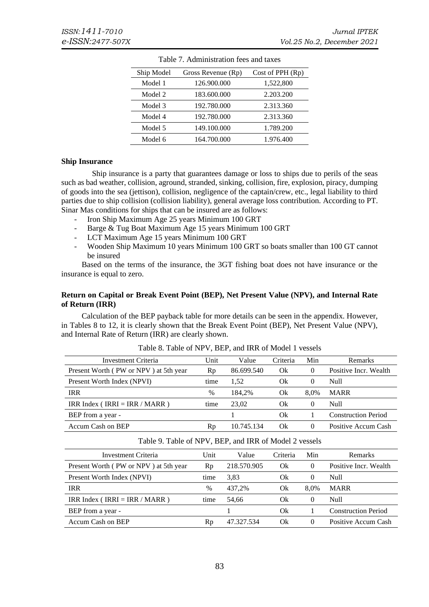| Ship Model | Gross Revenue (Rp) | Cost of PPH $(Rp)$ |
|------------|--------------------|--------------------|
| Model 1    | 126.900.000        | 1,522,800          |
| Model 2    | 183.600.000        | 2.203.200          |
| Model 3    | 192.780.000        | 2.313.360          |
| Model 4    | 192.780.000        | 2.313.360          |
| Model 5    | 149.100.000        | 1.789.200          |
| Model 6    | 164.700.000        | 1.976.400          |

Table 7. Administration fees and taxes

#### **Ship Insurance**

Ship insurance is a party that guarantees damage or loss to ships due to perils of the seas such as bad weather, collision, aground, stranded, sinking, collision, fire, explosion, piracy, dumping of goods into the sea (jettison), collision, negligence of the captain/crew, etc., legal liability to third parties due to ship collision (collision liability), general average loss contribution. According to PT. Sinar Mas conditions for ships that can be insured are as follows:

- Iron Ship Maximum Age 25 years Minimum 100 GRT
- Barge & Tug Boat Maximum Age 15 years Minimum 100 GRT
- LCT Maximum Age 15 years Minimum 100 GRT
- Wooden Ship Maximum 10 years Minimum 100 GRT so boats smaller than 100 GT cannot be insured

Based on the terms of the insurance, the 3GT fishing boat does not have insurance or the insurance is equal to zero.

#### **Return on Capital or Break Event Point (BEP), Net Present Value (NPV), and Internal Rate of Return (IRR)**

Calculation of the BEP payback table for more details can be seen in the appendix. However, in Tables 8 to 12, it is clearly shown that the Break Event Point (BEP), Net Present Value (NPV), and Internal Rate of Return (IRR) are clearly shown.

| Investment Criteria                   | Unit | Value      | Criteria | Min      | <b>Remarks</b>             |
|---------------------------------------|------|------------|----------|----------|----------------------------|
| Present Worth (PW or NPV) at 5th year | Rp   | 86.699.540 | Ok       |          | Positive Incr. Wealth      |
| Present Worth Index (NPVI)            | time | 1.52       | Ok       | $\theta$ | Null                       |
| <b>IRR</b>                            | $\%$ | 184.2%     | Ok       | 8.0%     | <b>MARR</b>                |
| IRR Index (IRRI = IRR / MARR)         | time | 23.02      | Ok       |          | Null                       |
| BEP from a year -                     |      |            | Ok       |          | <b>Construction Period</b> |
| Accum Cash on BEP                     | Rp   | 10.745.134 | Ok       |          | Positive Accum Cash        |

Table 8. Table of NPV, BEP, and IRR of Model 1 vessels

| Table 9. Table of NPV, BEP, and IRR of Model 2 vessels |      |             |          |          |                            |  |
|--------------------------------------------------------|------|-------------|----------|----------|----------------------------|--|
| Investment Criteria                                    | Unit | Value       | Criteria | Min      | <b>Remarks</b>             |  |
| Present Worth (PW or NPV) at 5th year                  | Rp   | 218.570.905 | Ok       | $\theta$ | Positive Incr. Wealth      |  |
| Present Worth Index (NPVI)                             | time | 3.83        | Ok       | $\theta$ | Null                       |  |
| <b>IRR</b>                                             | $\%$ | 437.2%      | Ok       | 8.0%     | <b>MARR</b>                |  |
| IRR Index (IRRI = IRR / MARR)                          | time | 54.66       | Ok       | $\theta$ | Null                       |  |
| BEP from a year -                                      |      |             | Ok       |          | <b>Construction Period</b> |  |
| Accum Cash on BEP                                      | Rp   | 47.327.534  | Ok       | 0        | Positive Accum Cash        |  |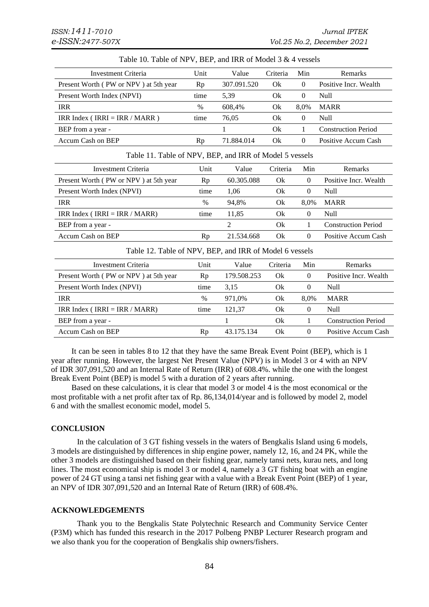| Table 10. Table of NPV, BEP, and IRR of Model 3 & 4 vessels |      |             |          |          |                            |  |  |
|-------------------------------------------------------------|------|-------------|----------|----------|----------------------------|--|--|
| Investment Criteria                                         | Unit | Value       | Criteria | Min      | <b>Remarks</b>             |  |  |
| Present Worth (PW or NPV) at 5th year                       | Rp   | 307.091.520 | Ok       | $\theta$ | Positive Incr. Wealth      |  |  |
| Present Worth Index (NPVI)                                  | time | 5,39        | Ok       | $\theta$ | Null                       |  |  |
| <b>IRR</b>                                                  | $\%$ | 608.4%      | Ok       | 8.0%     | <b>MARR</b>                |  |  |
| IRR Index (IRRI = IRR / MARR)                               | time | 76,05       | Ok       | $\Omega$ | Null                       |  |  |
| BEP from a year -                                           |      |             | Ok       |          | <b>Construction Period</b> |  |  |
| Accum Cash on BEP                                           | Rp   | 71.884.014  | Ok       | $\theta$ | Positive Accum Cash        |  |  |

Table 11. Table of NPV, BEP, and IRR of Model 5 vessels

| Investment Criteria                   | Unit | Value      | Criteria | Min      | <b>Remarks</b>             |
|---------------------------------------|------|------------|----------|----------|----------------------------|
| Present Worth (PW or NPV) at 5th year | Rp   | 60.305.088 | Ok       | $\theta$ | Positive Incr. Wealth      |
| Present Worth Index (NPVI)            | time | 1.06       | Ok       | $\theta$ | Null                       |
| <b>IRR</b>                            | $\%$ | 94.8%      | Ok       | 8.0%     | <b>MARR</b>                |
| IRR Index (IRRI = IRR / MARR)         | time | 11.85      | Ok       | $\theta$ | <b>Null</b>                |
| BEP from a year -                     |      |            | Ok       |          | <b>Construction Period</b> |
| Accum Cash on BEP                     | Rp   | 21.534.668 | Ok       | $\theta$ | Positive Accum Cash        |

Table 12. Table of NPV, BEP, and IRR of Model 6 vessels

| Investment Criteria                   | Unit | Value       | Criteria | Min      | <b>Remarks</b>             |
|---------------------------------------|------|-------------|----------|----------|----------------------------|
| Present Worth (PW or NPV) at 5th year | Rp   | 179.508.253 | Ok       | $\theta$ | Positive Incr. Wealth      |
| Present Worth Index (NPVI)            | time | 3.15        | Ok       | $\theta$ | Null                       |
| <b>IRR</b>                            | $\%$ | 971.0%      | Ok       | 8.0%     | <b>MARR</b>                |
| IRR Index (IRRI = IRR / MARR)         | time | 121.37      | Ok       | $\theta$ | Null                       |
| BEP from a year -                     |      |             | Ok       |          | <b>Construction Period</b> |
| <b>Accum Cash on BEP</b>              | Rp   | 43.175.134  | Ok       | $\theta$ | Positive Accum Cash        |

It can be seen in tables 8 to 12 that they have the same Break Event Point (BEP), which is 1 year after running. However, the largest Net Present Value (NPV) is in Model 3 or 4 with an NPV of IDR 307,091,520 and an Internal Rate of Return (IRR) of 608.4%. while the one with the longest Break Event Point (BEP) is model 5 with a duration of 2 years after running.

Based on these calculations, it is clear that model 3 or model 4 is the most economical or the most profitable with a net profit after tax of Rp. 86,134,014/year and is followed by model 2, model 6 and with the smallest economic model, model 5.

#### **CONCLUSION**

In the calculation of 3 GT fishing vessels in the waters of Bengkalis Island using 6 models, 3 models are distinguished by differences in ship engine power, namely 12, 16, and 24 PK, while the other 3 models are distinguished based on their fishing gear, namely tansi nets, kurau nets, and long lines. The most economical ship is model 3 or model 4, namely a 3 GT fishing boat with an engine power of 24 GT using a tansi net fishing gear with a value with a Break Event Point (BEP) of 1 year, an NPV of IDR 307,091,520 and an Internal Rate of Return (IRR) of 608.4%.

#### **ACKNOWLEDGEMENTS**

Thank you to the Bengkalis State Polytechnic Research and Community Service Center (P3M) which has funded this research in the 2017 Polbeng PNBP Lecturer Research program and we also thank you for the cooperation of Bengkalis ship owners/fishers.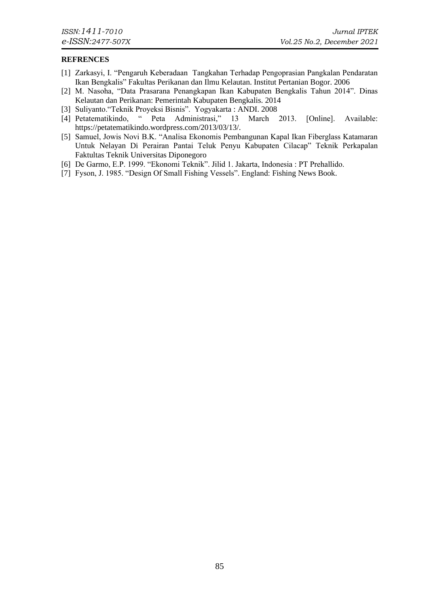### **REFRENCES**

- [1] Zarkasyi, I. "Pengaruh Keberadaan Tangkahan Terhadap Pengoprasian Pangkalan Pendaratan Ikan Bengkalis" Fakultas Perikanan dan Ilmu Kelautan. Institut Pertanian Bogor. 2006
- [2] M. Nasoha, "Data Prasarana Penangkapan Ikan Kabupaten Bengkalis Tahun 2014". Dinas Kelautan dan Perikanan: Pemerintah Kabupaten Bengkalis. 2014
- [3] Suliyanto."Teknik Proyeksi Bisnis". Yogyakarta : ANDI. 2008
- [4] Petatematikindo, " Peta Administrasi," 13 March 2013. [Online]. Available: https://petatematikindo.wordpress.com/2013/03/13/.
- [5] Samuel, Jowis Novi B.K. "Analisa Ekonomis Pembangunan Kapal Ikan Fiberglass Katamaran Untuk Nelayan Di Perairan Pantai Teluk Penyu Kabupaten Cilacap" Teknik Perkapalan Faktultas Teknik Universitas Diponegoro
- [6] De Garmo, E.P. 1999. "Ekonomi Teknik". Jilid 1. Jakarta, Indonesia : PT Prehallido.
- [7] Fyson, J. 1985. "Design Of Small Fishing Vessels". England: Fishing News Book.